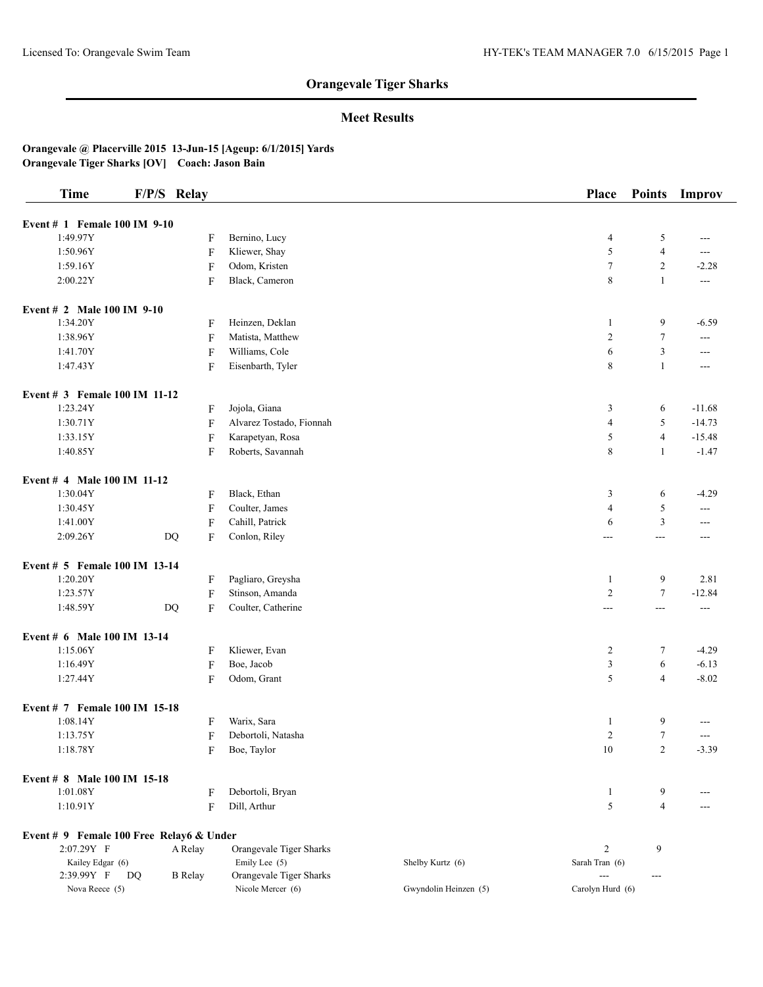## **Meet Results**

| <b>Time</b>                              | F/P/S Relay |                           |                                          |                       | <b>Place</b>                     | <b>Points</b>  | Improv                   |
|------------------------------------------|-------------|---------------------------|------------------------------------------|-----------------------|----------------------------------|----------------|--------------------------|
| Event # 1 Female 100 IM 9-10             |             |                           |                                          |                       |                                  |                |                          |
| 1:49.97Y                                 |             | F                         | Bernino, Lucy                            |                       | 4                                | 5              | ---                      |
| 1:50.96Y                                 |             | F                         | Kliewer, Shay                            |                       | 5                                | $\overline{4}$ | $---$                    |
| 1:59.16Y                                 |             | F                         | Odom, Kristen                            |                       | $\boldsymbol{7}$                 | $\overline{c}$ | $-2.28$                  |
| 2:00.22Y                                 |             |                           |                                          |                       | 8                                | $\mathbf{1}$   |                          |
|                                          |             | F                         | Black, Cameron                           |                       |                                  |                | $\overline{\phantom{a}}$ |
| Event # 2 Male 100 IM 9-10               |             |                           |                                          |                       |                                  |                |                          |
| 1:34.20Y                                 |             | F                         | Heinzen, Deklan                          |                       | 1                                | 9              | $-6.59$                  |
| 1:38.96Y                                 |             | F                         | Matista, Matthew                         |                       | $\overline{c}$                   | $\tau$         | $\sim$ $\sim$            |
| 1:41.70Y                                 |             | $\boldsymbol{\mathrm{F}}$ | Williams, Cole                           |                       | 6                                | 3              | $\overline{a}$           |
| 1:47.43Y                                 |             | F                         | Eisenbarth, Tyler                        |                       | 8                                | $\mathbf{1}$   | $---$                    |
| Event # 3 Female 100 IM 11-12            |             |                           |                                          |                       |                                  |                |                          |
| 1:23.24Y                                 |             | F                         | Jojola, Giana                            |                       | 3                                | 6              | $-11.68$                 |
| 1:30.71Y                                 |             | F                         | Alvarez Tostado, Fionnah                 |                       | 4                                | 5              | $-14.73$                 |
| 1:33.15Y                                 |             | F                         | Karapetyan, Rosa                         |                       | 5                                | $\overline{4}$ | $-15.48$                 |
| 1:40.85Y                                 |             | F                         | Roberts, Savannah                        |                       | 8                                | 1              | $-1.47$                  |
| Event # 4 Male 100 IM 11-12              |             |                           |                                          |                       |                                  |                |                          |
| 1:30.04Y                                 |             | F                         | Black, Ethan                             |                       | 3                                | 6              | $-4.29$                  |
| 1:30.45Y                                 |             | $\boldsymbol{\mathrm{F}}$ | Coulter, James                           |                       | 4                                | 5              | $---$                    |
| 1:41.00Y                                 |             | F                         | Cahill, Patrick                          |                       | 6                                | 3              | ---                      |
| 2:09.26Y                                 | <b>DQ</b>   | F                         | Conlon, Riley                            |                       | ---                              | ---            | ---                      |
|                                          |             |                           |                                          |                       |                                  |                |                          |
| Event # 5 Female 100 IM 13-14            |             |                           |                                          |                       |                                  |                |                          |
| 1:20.20Y                                 |             | F                         | Pagliaro, Greysha                        |                       | $\mathbf{1}$                     | 9              | 2.81                     |
| 1:23.57Y                                 |             | F                         | Stinson, Amanda                          |                       | $\overline{c}$                   | $\tau$         | $-12.84$                 |
| 1:48.59Y                                 |             | F<br>DQ                   | Coulter, Catherine                       |                       | ---                              | ---            | $\overline{a}$           |
| Event # 6 Male 100 IM 13-14              |             |                           |                                          |                       |                                  |                |                          |
| 1:15.06Y                                 |             | F                         | Kliewer, Evan                            |                       | $\overline{c}$                   | 7              | $-4.29$                  |
| 1:16.49Y                                 |             | $\boldsymbol{\mathrm{F}}$ | Boe, Jacob                               |                       | 3                                | 6              | $-6.13$                  |
| 1:27.44Y                                 |             | F                         | Odom, Grant                              |                       | 5                                | $\overline{4}$ | $-8.02$                  |
| Event # 7 Female 100 IM 15-18            |             |                           |                                          |                       |                                  |                |                          |
| 1:08.14Y                                 |             | F                         | Warix, Sara                              |                       | $\mathbf{1}$                     | 9              |                          |
| 1:13.75Y                                 |             | F                         | Debortoli, Natasha                       |                       | $\overline{c}$                   | $\tau$         | $---$                    |
| 1:18.78Y                                 |             | F                         | Boe, Taylor                              |                       | $10\,$                           | 2              | $-3.39$                  |
| Event # 8 Male 100 IM 15-18              |             |                           |                                          |                       |                                  |                |                          |
| 1:01.08Y                                 |             | F                         | Debortoli, Bryan                         |                       | $\mathbf{1}$                     | 9              |                          |
| 1:10.91Y                                 |             | F                         | Dill, Arthur                             |                       | 5                                | $\overline{4}$ | $---$                    |
|                                          |             |                           |                                          |                       |                                  |                |                          |
| Event # 9 Female 100 Free Relay6 & Under |             |                           |                                          |                       |                                  |                |                          |
| 2:07.29Y F                               |             | A Relay                   | Orangevale Tiger Sharks                  |                       | $\overline{c}$                   | 9              |                          |
| Kailey Edgar (6)<br>2:39.99Y F           | <b>DQ</b>   |                           | Emily Lee (5)<br>Orangevale Tiger Sharks | Shelby Kurtz (6)      | Sarah Tran (6)<br>$\overline{a}$ |                |                          |
| Nova Reece (5)                           |             | <b>B</b> Relay            | Nicole Mercer (6)                        | Gwyndolin Heinzen (5) | Carolyn Hurd (6)                 | $---$          |                          |
|                                          |             |                           |                                          |                       |                                  |                |                          |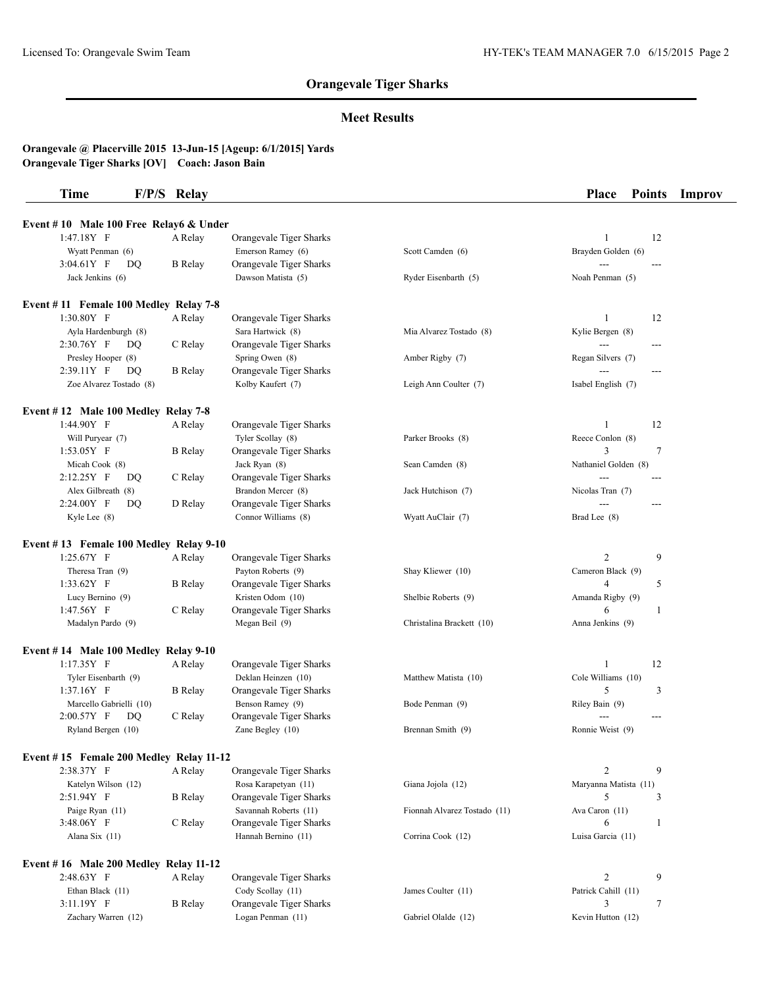## **Meet Results**

| Time | F/P/S Relay                            | <b>Place Points Improv</b> |  |
|------|----------------------------------------|----------------------------|--|
|      | Event #10 Male 100 Free Relay6 & Under |                            |  |

| 1:47.18Y F                              | A Relay        | Orangevale Tiger Sharks |                              | 12<br>1               |
|-----------------------------------------|----------------|-------------------------|------------------------------|-----------------------|
| Wyatt Penman (6)                        |                | Emerson Ramey (6)       | Scott Camden (6)             | Brayden Golden (6)    |
| $3:04.61Y$ F<br>DQ                      | <b>B</b> Relay | Orangevale Tiger Sharks |                              | $\overline{a}$        |
| Jack Jenkins (6)                        |                | Dawson Matista (5)      | Ryder Eisenbarth (5)         | Noah Penman (5)       |
| Event #11 Female 100 Medley Relay 7-8   |                |                         |                              |                       |
| $1:30.80Y$ F                            | A Relay        | Orangevale Tiger Sharks |                              | 12<br>1               |
| Ayla Hardenburgh (8)                    |                | Sara Hartwick (8)       | Mia Alvarez Tostado (8)      | Kylie Bergen (8)      |
| 2:30.76Y F<br>DQ                        | C Relay        | Orangevale Tiger Sharks |                              | $---$                 |
| Presley Hooper (8)                      |                | Spring Owen (8)         | Amber Rigby (7)              | Regan Silvers (7)     |
| 2:39.11Y F<br>DQ                        | <b>B</b> Relay | Orangevale Tiger Sharks |                              |                       |
| Zoe Alvarez Tostado (8)                 |                | Kolby Kaufert (7)       | Leigh Ann Coulter (7)        | Isabel English (7)    |
| Event $# 12$ Male 100 Medley Relay 7-8  |                |                         |                              |                       |
| 1:44.90Y F                              | A Relay        | Orangevale Tiger Sharks |                              | 12<br>1               |
| Will Puryear (7)                        |                | Tyler Scollay (8)       | Parker Brooks (8)            | Reece Conlon (8)      |
| $1:53.05Y$ F                            | B Relay        | Orangevale Tiger Sharks |                              | 3<br>$\tau$           |
| Micah Cook (8)                          |                | Jack Ryan (8)           | Sean Camden (8)              | Nathaniel Golden (8)  |
| 2:12.25Y F<br>DQ                        | C Relay        | Orangevale Tiger Sharks |                              | $---$                 |
| Alex Gilbreath (8)                      |                | Brandon Mercer (8)      | Jack Hutchison (7)           | Nicolas Tran (7)      |
| 2:24.00Y F<br>DQ                        | D Relay        | Orangevale Tiger Sharks |                              |                       |
| Kyle Lee (8)                            |                | Connor Williams (8)     | Wyatt AuClair (7)            | Brad Lee (8)          |
| Event #13 Female 100 Medley Relay 9-10  |                |                         |                              |                       |
| $1:25.67Y$ F                            | A Relay        | Orangevale Tiger Sharks |                              | 2<br>9                |
| Theresa Tran (9)                        |                | Payton Roberts (9)      | Shay Kliewer (10)            | Cameron Black (9)     |
| $1:33.62Y$ F                            | <b>B</b> Relay | Orangevale Tiger Sharks |                              | $\overline{4}$<br>5   |
| Lucy Bernino (9)                        |                | Kristen Odom (10)       | Shelbie Roberts (9)          | Amanda Rigby (9)      |
| $1:47.56Y$ F                            | C Relay        | Orangevale Tiger Sharks |                              | 6<br>1                |
| Madalyn Pardo (9)                       |                | Megan Beil (9)          | Christalina Brackett (10)    | Anna Jenkins (9)      |
| Event #14 Male 100 Medley Relay 9-10    |                |                         |                              |                       |
| $1:17.35Y$ F                            | A Relay        | Orangevale Tiger Sharks |                              | 12<br>1               |
| Tyler Eisenbarth (9)                    |                | Deklan Heinzen (10)     | Matthew Matista (10)         | Cole Williams (10)    |
| $1:37.16Y$ F                            | <b>B</b> Relay | Orangevale Tiger Sharks |                              | 5<br>3                |
| Marcello Gabrielli (10)                 |                | Benson Ramey (9)        | Bode Penman (9)              | Riley Bain (9)        |
| 2:00.57Y F<br>DQ                        | C Relay        | Orangevale Tiger Sharks |                              |                       |
| Ryland Bergen (10)                      |                | Zane Begley (10)        | Brennan Smith (9)            | Ronnie Weist (9)      |
| Event #15 Female 200 Medley Relay 11-12 |                |                         |                              |                       |
| 2:38.37Y F                              | A Relay        | Orangevale Tiger Sharks |                              | 9<br>2                |
| Katelyn Wilson (12)                     |                | Rosa Karapetyan (11)    | Giana Jojola (12)            | Maryanna Matista (11) |
| 2:51.94Y F                              | <b>B</b> Relay | Orangevale Tiger Sharks |                              | 5<br>3                |
| Paige Ryan (11)                         |                | Savannah Roberts (11)   | Fionnah Alvarez Tostado (11) | Ava Caron (11)        |
| 3:48.06Y F                              | C Relay        | Orangevale Tiger Sharks |                              | 1<br>6                |
| Alana Six (11)                          |                | Hannah Bernino (11)     | Corrina Cook (12)            | Luisa Garcia (11)     |
| Event #16 Male 200 Medley Relay 11-12   |                |                         |                              |                       |
| 2:48.63Y F                              | A Relay        | Orangevale Tiger Sharks |                              | $\overline{2}$<br>9   |
| Ethan Black (11)                        |                | Cody Scollay (11)       | James Coulter (11)           | Patrick Cahill (11)   |
| 3:11.19Y F                              | <b>B</b> Relay | Orangevale Tiger Sharks |                              | 3<br>$\tau$           |
| Zachary Warren (12)                     |                | Logan Penman (11)       | Gabriel Olalde (12)          | Kevin Hutton (12)     |
|                                         |                |                         |                              |                       |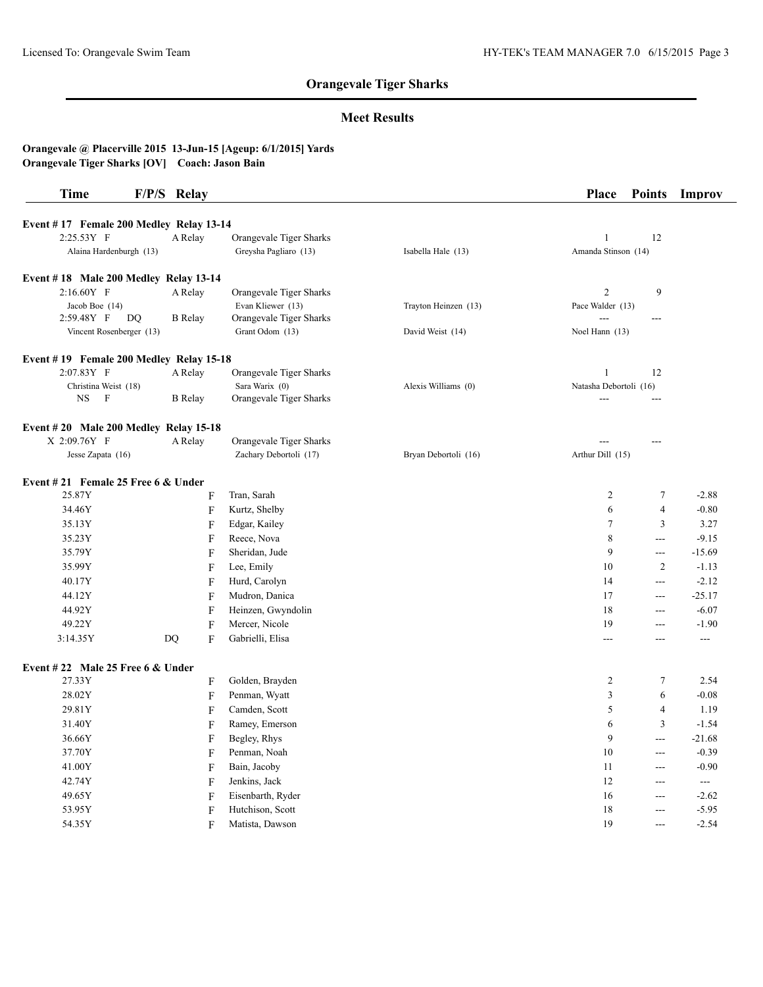### **Meet Results**

| <b>Time</b>                             | F/P/S Relay               |                         |                      | Place                  | <b>Points</b>  | Improv         |
|-----------------------------------------|---------------------------|-------------------------|----------------------|------------------------|----------------|----------------|
| Event #17 Female 200 Medley Relay 13-14 |                           |                         |                      |                        |                |                |
| 2:25.53Y F                              | A Relay                   | Orangevale Tiger Sharks |                      | $\mathbf{1}$           | 12             |                |
| Alaina Hardenburgh (13)                 |                           | Greysha Pagliaro (13)   | Isabella Hale (13)   | Amanda Stinson (14)    |                |                |
| Event #18 Male 200 Medley Relay 13-14   |                           |                         |                      |                        |                |                |
| 2:16.60Y F                              | A Relay                   | Orangevale Tiger Sharks |                      | $\overline{2}$         | $\overline{9}$ |                |
| Jacob Boe (14)                          |                           | Evan Kliewer (13)       | Trayton Heinzen (13) | Pace Walder (13)       |                |                |
| 2:59.48Y F<br>DQ                        | <b>B</b> Relay            | Orangevale Tiger Sharks |                      |                        | ---            |                |
| Vincent Rosenberger (13)                |                           | Grant Odom (13)         | David Weist (14)     | Noel Hann (13)         |                |                |
| Event #19 Female 200 Medley Relay 15-18 |                           |                         |                      |                        |                |                |
| 2:07.83Y F                              | A Relay                   | Orangevale Tiger Sharks |                      | 1                      | 12             |                |
| Christina Weist (18)                    |                           | Sara Warix (0)          | Alexis Williams (0)  | Natasha Debortoli (16) |                |                |
| <b>NS</b><br>$\mathbf{F}$               | <b>B</b> Relay            | Orangevale Tiger Sharks |                      |                        | $ -$           |                |
| Event #20 Male 200 Medley Relay 15-18   |                           |                         |                      |                        |                |                |
| X 2:09.76Y F                            | A Relay                   | Orangevale Tiger Sharks |                      | ---                    |                |                |
| Jesse Zapata (16)                       |                           | Zachary Debortoli (17)  | Bryan Debortoli (16) | Arthur Dill (15)       |                |                |
| Event #21 Female 25 Free 6 $&$ Under    |                           |                         |                      |                        |                |                |
| 25.87Y                                  | F                         | Tran, Sarah             |                      | $\overline{c}$         | $\tau$         | $-2.88$        |
| 34.46Y                                  | $\boldsymbol{\mathrm{F}}$ | Kurtz, Shelby           |                      | 6                      | $\overline{4}$ | $-0.80$        |
| 35.13Y                                  | ${\bf F}$                 | Edgar, Kailey           |                      | $\tau$                 | 3              | 3.27           |
| 35.23Y                                  | F                         | Reece, Nova             |                      | 8                      | $\overline{a}$ | $-9.15$        |
| 35.79Y                                  | $\boldsymbol{\mathrm{F}}$ | Sheridan, Jude          |                      | 9                      | $ -$           | $-15.69$       |
| 35.99Y                                  | ${\bf F}$                 | Lee, Emily              |                      | 10                     | $\overline{2}$ | $-1.13$        |
| 40.17Y                                  |                           | Hurd, Carolyn           |                      | 14                     | $\overline{a}$ | $-2.12$        |
|                                         | $\boldsymbol{\mathrm{F}}$ |                         |                      | 17                     |                |                |
| 44.12Y                                  | F                         | Mudron, Danica          |                      | 18                     | $---$          | $-25.17$       |
| 44.92Y                                  | F                         | Heinzen, Gwyndolin      |                      |                        | $\sim$ $\sim$  | $-6.07$        |
| 49.22Y                                  | F                         | Mercer, Nicole          |                      | 19                     | $---$          | $-1.90$        |
| 3:14.35Y                                | F<br><b>DQ</b>            | Gabrielli, Elisa        |                      | $---$                  | $---$          | $\sim$ $\sim$  |
| Event #22 Male 25 Free 6 $&$ Under      |                           |                         |                      |                        |                |                |
| 27.33Y                                  | F                         | Golden, Brayden         |                      | $\overline{2}$         | 7              | 2.54           |
| 28.02Y                                  | F                         | Penman, Wyatt           |                      | 3                      | 6              | $-0.08$        |
| 29.81Y                                  | F                         | Camden, Scott           |                      | 5                      | $\overline{4}$ | 1.19           |
| 31.40Y                                  | F                         | Ramey, Emerson          |                      | 6                      | $\mathfrak z$  | $-1.54$        |
| 36.66Y                                  | ${\bf F}$                 | Begley, Rhys            |                      | 9                      | $\overline{a}$ | $-21.68$       |
| 37.70Y                                  | F                         | Penman, Noah            |                      | 10                     | $ -$           | $-0.39$        |
| 41.00Y                                  | $\boldsymbol{\mathrm{F}}$ | Bain, Jacoby            |                      | 11                     | $\overline{a}$ | $-0.90$        |
| 42.74Y                                  | F                         | Jenkins, Jack           |                      | 12                     | $ -$           | $\overline{a}$ |
| 49.65Y                                  | F                         | Eisenbarth, Ryder       |                      | 16                     | $---$          | $-2.62$        |
| 53.95Y                                  | $\boldsymbol{\mathrm{F}}$ | Hutchison, Scott        |                      | 18                     | $\overline{a}$ | $-5.95$        |
| 54.35Y                                  | F                         | Matista, Dawson         |                      | 19                     | $-$ - $-$      | $-2.54$        |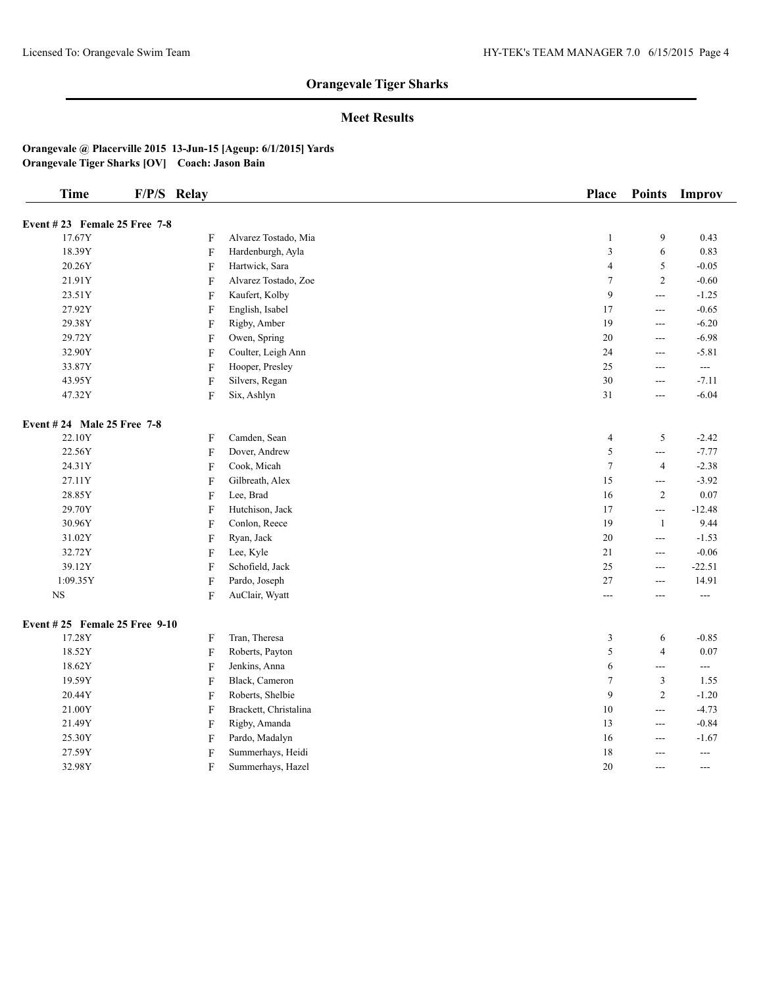## **Meet Results**

| <b>Time</b>                    | F/P/S Relay               |                       | <b>Place</b>                | <b>Points</b>            | Improv            |
|--------------------------------|---------------------------|-----------------------|-----------------------------|--------------------------|-------------------|
| Event $#23$ Female 25 Free 7-8 |                           |                       |                             |                          |                   |
| 17.67Y                         | F                         | Alvarez Tostado, Mia  | $\mathbf{1}$                | 9                        | 0.43              |
| 18.39Y                         | $\rm F$                   | Hardenburgh, Ayla     | $\ensuremath{\mathfrak{Z}}$ | 6                        | 0.83              |
| 20.26Y                         | $\mathbf F$               | Hartwick, Sara        | $\overline{4}$              | $\sqrt{5}$               | $-0.05$           |
| 21.91Y                         | $\rm F$                   | Alvarez Tostado, Zoe  | $\boldsymbol{7}$            | $\overline{2}$           | $-0.60$           |
| 23.51Y                         | $\rm F$                   | Kaufert, Kolby        | $\overline{9}$              | $\overline{a}$           | $-1.25$           |
| 27.92Y                         | $\rm F$                   | English, Isabel       | 17                          | $\scriptstyle \cdots$    | $-0.65$           |
| 29.38Y                         | $\boldsymbol{\mathrm{F}}$ | Rigby, Amber          | 19                          | $\overline{\phantom{a}}$ | $-6.20$           |
| 29.72Y                         | $\rm F$                   | Owen, Spring          | $20\,$                      | $\overline{a}$           | $-6.98$           |
| 32.90Y                         | F                         | Coulter, Leigh Ann    | 24                          | $-$                      | $-5.81$           |
| 33.87Y                         | ${\bf F}$                 | Hooper, Presley       | 25                          | $\overline{\phantom{a}}$ | ---               |
| 43.95Y                         | $\mathbf F$               | Silvers, Regan        | 30                          | $\overline{a}$           | $-7.11$           |
| 47.32Y                         | $\mathbf F$               | Six, Ashlyn           | 31                          | $\qquad \qquad - -$      | $-6.04$           |
| Event # 24 Male 25 Free 7-8    |                           |                       |                             |                          |                   |
| 22.10Y                         | F                         | Camden, Sean          | $\overline{4}$              | $\sqrt{5}$               | $-2.42$           |
| 22.56Y                         | ${\bf F}$                 | Dover, Andrew         | $\sqrt{5}$                  | $\overline{a}$           | $-7.77$           |
| 24.31Y                         | $\rm F$                   | Cook, Micah           | $\tau$                      | $\overline{4}$           | $-2.38$           |
| 27.11Y                         | F                         | Gilbreath, Alex       | 15                          | $\overline{\phantom{a}}$ | $-3.92$           |
| 28.85Y                         | F                         | Lee, Brad             | 16                          | $\sqrt{2}$               | 0.07              |
| 29.70Y                         | $\rm F$                   | Hutchison, Jack       | $17\,$                      | $\overline{\phantom{a}}$ | $-12.48$          |
| 30.96Y                         | $\rm F$                   | Conlon, Reece         | 19                          | $\mathbf{1}$             | 9.44              |
| 31.02Y                         | $\mathbf F$               | Ryan, Jack            | $20\,$                      | $\overline{\phantom{a}}$ | $-1.53$           |
| 32.72Y                         | $\boldsymbol{\mathrm{F}}$ | Lee, Kyle             | $21\,$                      | $\overline{a}$           | $-0.06$           |
| 39.12Y                         | ${\bf F}$                 | Schofield, Jack       | $25\,$                      | $\sim$ $\sim$            | $-22.51$          |
| 1:09.35Y                       | $\boldsymbol{\mathrm{F}}$ | Pardo, Joseph         | 27                          | $--$                     | 14.91             |
| $_{\rm NS}$                    | F                         | AuClair, Wyatt        | ---                         | $---$                    | ---               |
| Event #25 Female 25 Free 9-10  |                           |                       |                             |                          |                   |
| 17.28Y                         | F                         | Tran, Theresa         | 3                           | 6                        | $-0.85$           |
| 18.52Y                         | $\rm F$                   | Roberts, Payton       | $\sqrt{5}$                  | $\overline{4}$           | $0.07\,$          |
| 18.62Y                         | F                         | Jenkins, Anna         | $\sqrt{6}$                  | $\overline{a}$           | $---$             |
| 19.59Y                         | F                         | Black, Cameron        | $\tau$                      | $\mathfrak{Z}$           | 1.55              |
| 20.44Y                         | F                         | Roberts, Shelbie      | $\overline{9}$              | $\overline{2}$           | $-1.20$           |
| 21.00Y                         | $\rm F$                   | Brackett, Christalina | $10\,$                      | $\overline{\phantom{a}}$ | $-4.73$           |
| 21.49Y                         | F                         | Rigby, Amanda         | 13                          | $\sim$ $\sim$            | $-0.84$           |
| 25.30Y                         | $\rm F$                   | Pardo, Madalyn        | 16                          | $\sim$ $\sim$            | $-1.67$           |
| 27.59Y                         | F                         | Summerhays, Heidi     | 18                          | $\overline{a}$           | $\qquad \qquad -$ |
| 32.98Y                         | F                         | Summerhays, Hazel     | 20                          | $---$                    | ---               |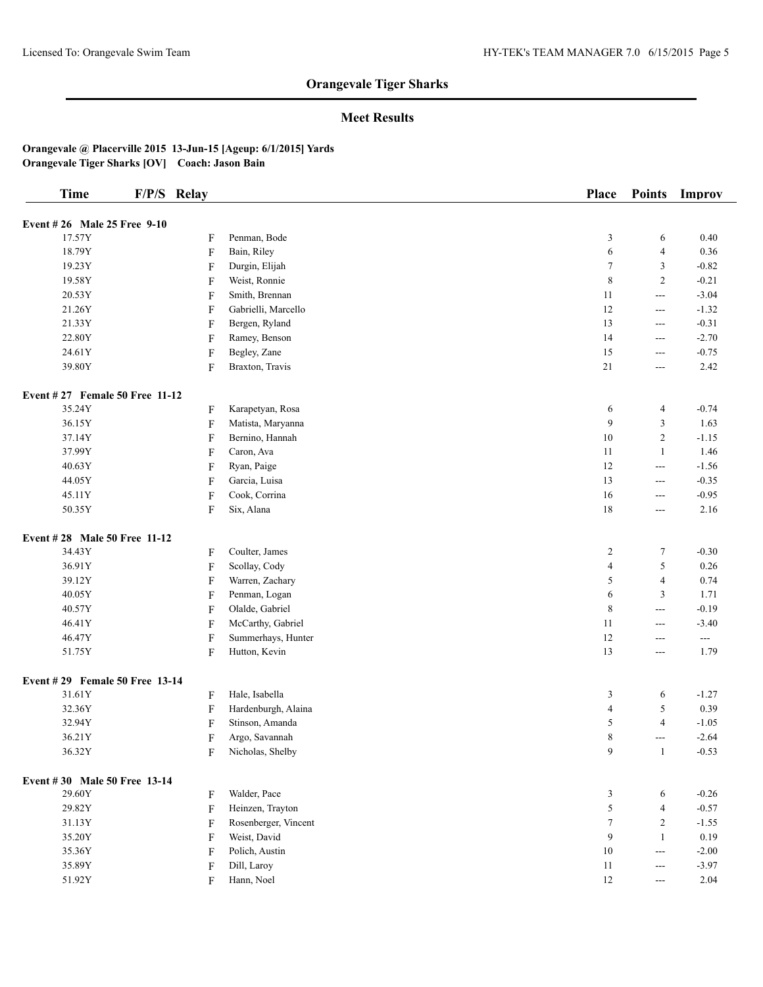## **Meet Results**

| <b>Time</b>                    | F/P/S Relay               |                      | Place                   | <b>Points</b>  | Improv        |
|--------------------------------|---------------------------|----------------------|-------------------------|----------------|---------------|
| Event #26 Male 25 Free 9-10    |                           |                      |                         |                |               |
| 17.57Y                         | F                         | Penman, Bode         | 3                       | 6              | 0.40          |
| 18.79Y                         | F                         | Bain, Riley          | 6                       | $\overline{4}$ | 0.36          |
| 19.23Y                         | F                         | Durgin, Elijah       | $\tau$                  | 3              | $-0.82$       |
| 19.58Y                         | F                         | Weist, Ronnie        | $\,$ 8 $\,$             | $\mathfrak{2}$ | $-0.21$       |
| 20.53Y                         | F                         | Smith, Brennan       | 11                      | $ -$           | $-3.04$       |
| 21.26Y                         | F                         | Gabrielli, Marcello  | 12                      | $---$          | $-1.32$       |
| 21.33Y                         | $\boldsymbol{\mathrm{F}}$ | Bergen, Ryland       | 13                      | ---            | $-0.31$       |
| 22.80Y                         | $\boldsymbol{\mathrm{F}}$ | Ramey, Benson        | 14                      | ---            | $-2.70$       |
| 24.61Y                         | F                         | Begley, Zane         | 15                      | $---$          | $-0.75$       |
| 39.80Y                         | $\boldsymbol{\mathrm{F}}$ | Braxton, Travis      | 21                      | ---            | 2.42          |
| Event #27 Female 50 Free 11-12 |                           |                      |                         |                |               |
| 35.24Y                         | F                         | Karapetyan, Rosa     | 6                       | 4              | $-0.74$       |
| 36.15Y                         | F                         | Matista, Maryanna    | 9                       | 3              | 1.63          |
| 37.14Y                         | F                         | Bernino, Hannah      | $10\,$                  | $\mathfrak{2}$ | $-1.15$       |
| 37.99Y                         | F                         | Caron, Ava           | 11                      | $\mathbf{1}$   | 1.46          |
| 40.63Y                         | F                         | Ryan, Paige          | 12                      | ---            | $-1.56$       |
| 44.05Y                         | $\boldsymbol{\mathrm{F}}$ | Garcia, Luisa        | 13                      | ---            | $-0.35$       |
| 45.11Y                         | $\boldsymbol{\mathrm{F}}$ | Cook, Corrina        | 16                      | ---            | $-0.95$       |
| 50.35Y                         | F                         | Six, Alana           | 18                      | $---$          | 2.16          |
| Event #28 Male 50 Free 11-12   |                           |                      |                         |                |               |
| 34.43Y                         | F                         | Coulter, James       | $\overline{c}$          | $\tau$         | $-0.30$       |
| 36.91Y                         | F                         | Scollay, Cody        | $\overline{\mathbf{4}}$ | 5              | 0.26          |
| 39.12Y                         | F                         | Warren, Zachary      | 5                       | $\overline{4}$ | 0.74          |
| 40.05Y                         | F                         | Penman, Logan        | 6                       | 3              | 1.71          |
| 40.57Y                         | F                         | Olalde, Gabriel      | $\,$ 8 $\,$             | $\overline{a}$ | $-0.19$       |
| 46.41Y                         | F                         | McCarthy, Gabriel    | 11                      | $---$          | $-3.40$       |
| 46.47Y                         | $\boldsymbol{\mathrm{F}}$ | Summerhays, Hunter   | 12                      | ---            | $\sim$ $\sim$ |
| 51.75Y                         | F                         | Hutton, Kevin        | 13                      | ---            | 1.79          |
| Event #29 Female 50 Free 13-14 |                           |                      |                         |                |               |
| 31.61Y                         | F                         | Hale, Isabella       | 3                       | 6              | $-1.27$       |
| 32.36Y                         | F                         | Hardenburgh, Alaina  | $\overline{\mathbf{4}}$ | 5              | 0.39          |
| 32.94Y                         | F                         | Stinson, Amanda      | 5                       | $\overline{4}$ | $-1.05$       |
| 36.21Y                         | F                         | Argo, Savannah       | 8                       | $---$          | $-2.64$       |
| 36.32Y                         | F                         | Nicholas, Shelby     | 9                       | $\mathbf{1}$   | $-0.53$       |
| Event #30 Male 50 Free 13-14   |                           |                      |                         |                |               |
| 29.60Y                         | F                         | Walder, Pace         | 3                       | 6              | $-0.26$       |
| 29.82Y                         | F                         | Heinzen, Trayton     | 5                       | $\overline{4}$ | $-0.57$       |
| 31.13Y                         | F                         | Rosenberger, Vincent | $\tau$                  | $\mathfrak{2}$ | $-1.55$       |
| 35.20Y                         | F                         | Weist, David         | 9                       | $\mathbf{1}$   | 0.19          |
| 35.36Y                         | F                         | Polich, Austin       | $10\,$                  | $\frac{1}{2}$  | $-2.00$       |
| 35.89Y                         | F                         | Dill, Laroy          | 11                      | ---            | $-3.97$       |
| 51.92Y                         | F                         | Hann, Noel           | 12                      | $---$          | 2.04          |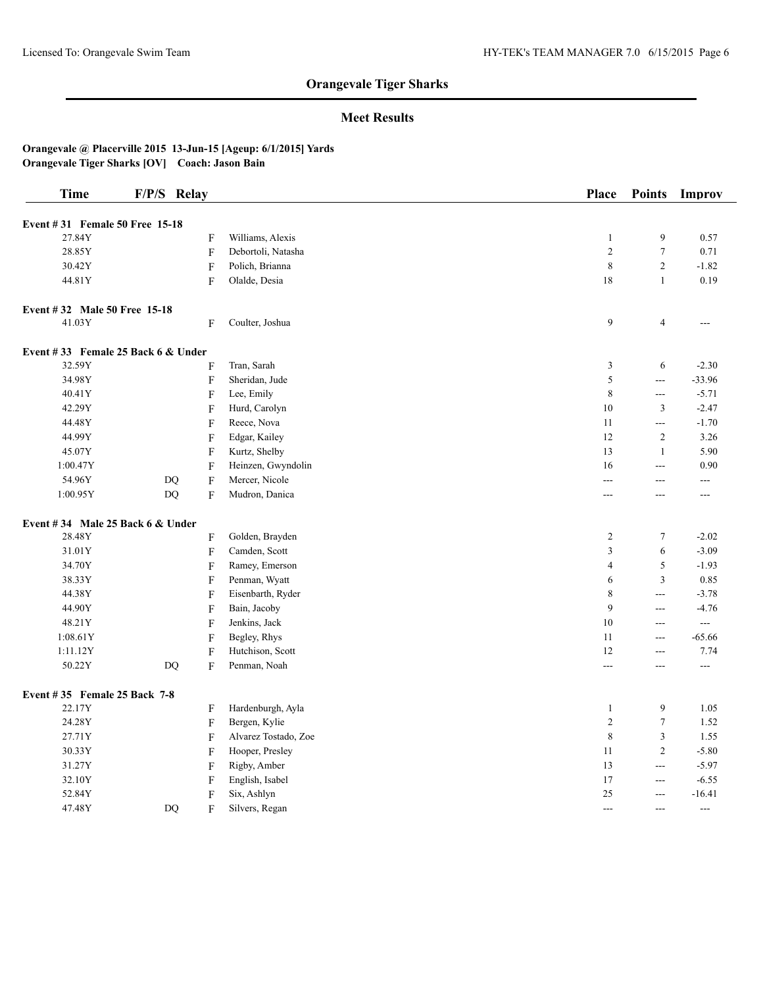## **Meet Results**

| <b>Time</b>                          | F/P/S Relay |                           |                      | Place          | <b>Points</b>            | Improv   |
|--------------------------------------|-------------|---------------------------|----------------------|----------------|--------------------------|----------|
| Event #31 Female 50 Free 15-18       |             |                           |                      |                |                          |          |
| 27.84Y                               |             | F                         | Williams, Alexis     | $\mathbf{1}$   | 9                        | 0.57     |
| 28.85Y                               |             | F                         | Debortoli, Natasha   | $\overline{2}$ | $\boldsymbol{7}$         | 0.71     |
| 30.42Y                               |             | $\mathbf F$               | Polich, Brianna      | $\,$ $\,$      | $\overline{c}$           | $-1.82$  |
| 44.81Y                               |             | F                         | Olalde, Desia        | 18             | $\mathbf{1}$             | 0.19     |
| Event #32 Male 50 Free 15-18         |             |                           |                      |                |                          |          |
| 41.03Y                               |             | F                         | Coulter, Joshua      | 9              | $\overline{\mathcal{L}}$ | $---$    |
| Event #33 Female 25 Back $6 &$ Under |             |                           |                      |                |                          |          |
| 32.59Y                               |             | F                         | Tran, Sarah          | 3              | 6                        | $-2.30$  |
| 34.98Y                               |             | F                         | Sheridan, Jude       | 5              | $\overline{a}$           | $-33.96$ |
| 40.41Y                               |             | F                         | Lee, Emily           | $\,$ $\,$      | $\overline{a}$           | $-5.71$  |
| 42.29Y                               |             | F                         | Hurd, Carolyn        | 10             | 3                        | $-2.47$  |
| 44.48Y                               |             | F                         | Reece, Nova          | 11             | $ -$                     | $-1.70$  |
| 44.99Y                               |             | F                         | Edgar, Kailey        | 12             | $\overline{c}$           | 3.26     |
| 45.07Y                               |             | F                         | Kurtz, Shelby        | 13             | $\mathbf{1}$             | 5.90     |
| 1:00.47Y                             |             | F                         | Heinzen, Gwyndolin   | 16             | $\frac{1}{2}$            | 0.90     |
| 54.96Y                               | DQ          | $\mathbf F$               | Mercer, Nicole       | $\frac{1}{2}$  | ---                      | $---$    |
| 1:00.95Y                             | DQ          | $\boldsymbol{\mathrm{F}}$ | Mudron, Danica       | ---            | ---                      | ---      |
| Event #34 Male 25 Back $6 &$ Under   |             |                           |                      |                |                          |          |
| 28.48Y                               |             | F                         | Golden, Brayden      | $\overline{c}$ | $\boldsymbol{7}$         | $-2.02$  |
| 31.01Y                               |             | $\mathbf F$               | Camden, Scott        | 3              | 6                        | $-3.09$  |
| 34.70Y                               |             | F                         | Ramey, Emerson       | $\overline{4}$ | 5                        | $-1.93$  |
| 38.33Y                               |             | $\boldsymbol{\mathrm{F}}$ | Penman, Wyatt        | 6              | 3                        | 0.85     |
| 44.38Y                               |             | $\boldsymbol{\mathrm{F}}$ | Eisenbarth, Ryder    | $\,$ 8 $\,$    | $---$                    | $-3.78$  |
| 44.90Y                               |             | $\boldsymbol{\mathrm{F}}$ | Bain, Jacoby         | 9              | ---                      | $-4.76$  |
| 48.21Y                               |             | F                         | Jenkins, Jack        | 10             | $---$                    | $\sim$   |
| 1:08.61Y                             |             | $\boldsymbol{\mathrm{F}}$ | Begley, Rhys         | 11             | $\frac{1}{2}$            | $-65.66$ |
| 1:11.12Y                             |             | F                         | Hutchison, Scott     | 12             | $---$                    | 7.74     |
| 50.22Y                               | DQ          | F                         | Penman, Noah         | ---            | ---                      | ---      |
| Event #35 Female 25 Back 7-8         |             |                           |                      |                |                          |          |
| 22.17Y                               |             | F                         | Hardenburgh, Ayla    | $\mathbf{1}$   | 9                        | 1.05     |
| 24.28Y                               |             | $\mathbf F$               | Bergen, Kylie        | $\overline{2}$ | $\overline{7}$           | 1.52     |
| 27.71Y                               |             | F                         | Alvarez Tostado, Zoe | $\,$ $\,$      | 3                        | 1.55     |
| 30.33Y                               |             | F                         | Hooper, Presley      | 11             | $\overline{c}$           | $-5.80$  |
| 31.27Y                               |             | F                         | Rigby, Amber         | 13             | $ -$                     | $-5.97$  |
| 32.10Y                               |             | F                         | English, Isabel      | 17             | ---                      | $-6.55$  |
| 52.84Y                               |             | F                         | Six, Ashlyn          | 25             | ---                      | $-16.41$ |
| 47.48Y                               | DO          | F                         | Silvers, Regan       | $---$          | ---                      | $-$      |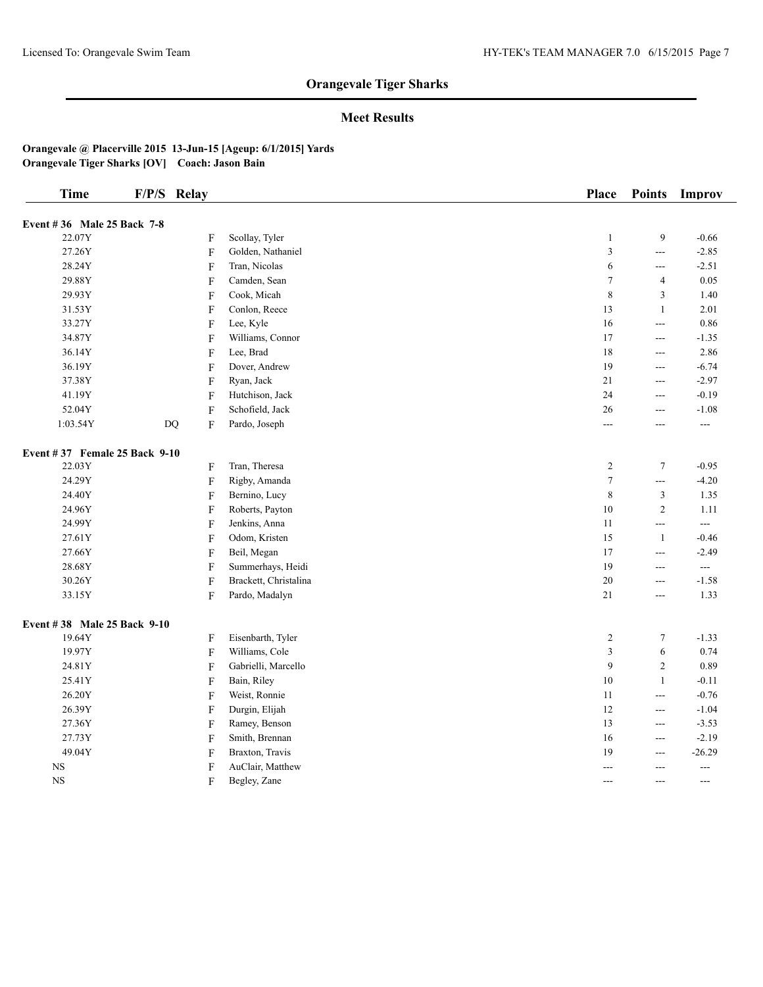## **Meet Results**

| <b>Time</b>                    | F/P/S Relay |                           |                       | Place            | <b>Points</b>  | <b>Improv</b> |
|--------------------------------|-------------|---------------------------|-----------------------|------------------|----------------|---------------|
| Event #36 Male 25 Back 7-8     |             |                           |                       |                  |                |               |
| 22.07Y                         |             | F                         | Scollay, Tyler        | $\mathbf{1}$     | 9              | $-0.66$       |
| 27.26Y                         |             | F                         | Golden, Nathaniel     | $\mathfrak z$    | ---            | $-2.85$       |
| 28.24Y                         |             | $\boldsymbol{\mathrm{F}}$ | Tran, Nicolas         | 6                | $\overline{a}$ | $-2.51$       |
| 29.88Y                         |             | F                         | Camden, Sean          | $\tau$           | $\overline{4}$ | 0.05          |
| 29.93Y                         |             | F                         | Cook, Micah           | $\,$ 8 $\,$      | 3              | 1.40          |
| 31.53Y                         |             | F                         | Conlon, Reece         | 13               | $\mathbf{1}$   | 2.01          |
| 33.27Y                         |             | F                         | Lee, Kyle             | $16\,$           | $\overline{a}$ | 0.86          |
| 34.87Y                         |             | F                         | Williams, Connor      | 17               | $\overline{a}$ | $-1.35$       |
| 36.14Y                         |             | F                         | Lee, Brad             | $18\,$           | $--$           | 2.86          |
| 36.19Y                         |             | F                         | Dover, Andrew         | 19               | $ -$           | $-6.74$       |
| 37.38Y                         |             | F                         | Ryan, Jack            | 21               | $\overline{a}$ | $-2.97$       |
| 41.19Y                         |             | F                         | Hutchison, Jack       | 24               | $\overline{a}$ | $-0.19$       |
| 52.04Y                         |             | F                         | Schofield, Jack       | $26\,$           | $\overline{a}$ | $-1.08$       |
| 1:03.54Y                       | <b>DQ</b>   | F                         | Pardo, Joseph         | $\overline{a}$   | $\sim$         | $-$           |
| Event #37 Female 25 Back 9-10  |             |                           |                       |                  |                |               |
| 22.03Y                         |             | F                         | Tran, Theresa         | $\overline{c}$   | $\tau$         | $-0.95$       |
| 24.29Y                         |             | F                         | Rigby, Amanda         | $\boldsymbol{7}$ | $\overline{a}$ | $-4.20$       |
| 24.40Y                         |             | F                         | Bernino, Lucy         | $\,$ 8 $\,$      | 3              | 1.35          |
| 24.96Y                         |             | F                         | Roberts, Payton       | $10\,$           | $\overline{2}$ | 1.11          |
| 24.99Y                         |             | F                         | Jenkins, Anna         | 11               | $\overline{a}$ | ---           |
| 27.61Y                         |             | F                         | Odom, Kristen         | 15               | $\mathbf{1}$   | $-0.46$       |
| 27.66Y                         |             | F                         | Beil, Megan           | 17               | $\overline{a}$ | $-2.49$       |
| 28.68Y                         |             | F                         | Summerhays, Heidi     | 19               | $\overline{a}$ | $-$           |
| $30.26\ensuremath{\mathrm{Y}}$ |             | F                         | Brackett, Christalina | $20\,$           | $\overline{a}$ | $-1.58$       |
| 33.15Y                         |             | F                         | Pardo, Madalyn        | 21               | $\overline{a}$ | 1.33          |
| Event #38 Male 25 Back 9-10    |             |                           |                       |                  |                |               |
| 19.64Y                         |             | F                         | Eisenbarth, Tyler     | 2                | 7              | $-1.33$       |
| 19.97Y                         |             | F                         | Williams, Cole        | $\mathfrak z$    | 6              | 0.74          |
| 24.81Y                         |             | F                         | Gabrielli, Marcello   | 9                | $\overline{c}$ | 0.89          |
| 25.41Y                         |             | F                         | Bain, Riley           | $10\,$           | $\mathbf{1}$   | $-0.11$       |
| 26.20Y                         |             | F                         | Weist, Ronnie         | 11               | $\overline{a}$ | $-0.76$       |
| 26.39Y                         |             | F                         | Durgin, Elijah        | 12               | $\overline{a}$ | $-1.04$       |
| 27.36Y                         |             | F                         | Ramey, Benson         | 13               | $\overline{a}$ | $-3.53$       |
| 27.73Y                         |             | $\boldsymbol{\mathrm{F}}$ | Smith, Brennan        | 16               | $\overline{a}$ | $-2.19$       |
| 49.04Y                         |             | F                         | Braxton, Travis       | 19               | $--$           | $-26.29$      |
| $_{\rm NS}$                    |             | F                         | AuClair, Matthew      | ---              | $\sim$         | ---           |
| <b>NS</b>                      |             | F                         | Begley, Zane          | ---              | $\sim$         | ---           |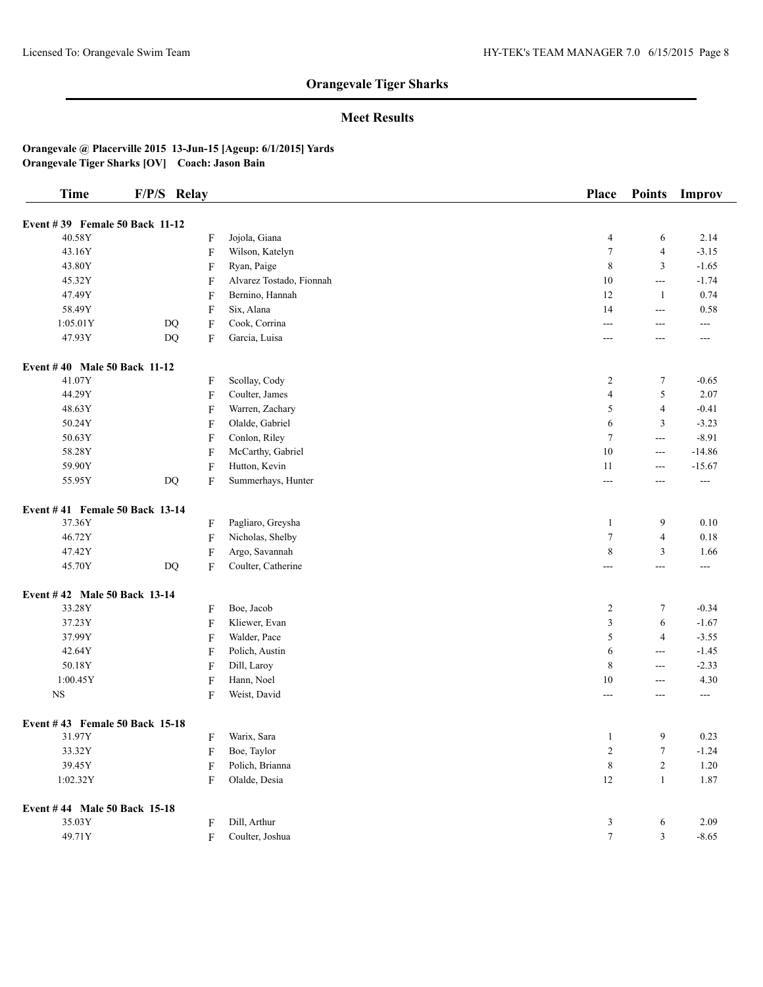## **Meet Results**

| <b>Time</b>                         | F/P/S Relay            |                           |                          | Place          | <b>Points</b>  | Improv        |
|-------------------------------------|------------------------|---------------------------|--------------------------|----------------|----------------|---------------|
| Event #39 Female 50 Back 11-12      |                        |                           |                          |                |                |               |
| 40.58Y                              |                        | $\boldsymbol{\mathrm{F}}$ | Jojola, Giana            | $\overline{4}$ | 6              | 2.14          |
| 43.16Y                              |                        | $\boldsymbol{\mathrm{F}}$ | Wilson, Katelyn          | $\tau$         | $\overline{4}$ | $-3.15$       |
| 43.80Y                              |                        | F                         | Ryan, Paige              | $\,$ 8 $\,$    | 3              | $-1.65$       |
| 45.32Y                              |                        | F                         | Alvarez Tostado, Fionnah | 10             | ---            | $-1.74$       |
| 47.49Y                              |                        | F                         | Bernino, Hannah          | 12             | 1              | 0.74          |
| 58.49Y                              |                        | F                         | Six, Alana               | 14             | $--$           | 0.58          |
| 1:05.01Y                            | $\mathbf{D}\mathbf{Q}$ | F                         | Cook, Corrina            | ---            | ---            | ---           |
| 47.93Y                              | $\mathbf{D}\mathbf{Q}$ | F                         | Garcia, Luisa            | ---            | ---            | ---           |
| <b>Event #40 Male 50 Back 11-12</b> |                        |                           |                          |                |                |               |
| 41.07Y                              |                        | F                         | Scollay, Cody            | $\overline{c}$ | 7              | $-0.65$       |
| 44.29Y                              |                        | F                         | Coulter, James           | $\overline{4}$ | 5              | 2.07          |
| 48.63Y                              |                        | F                         | Warren, Zachary          | 5              | 4              | $-0.41$       |
| 50.24Y                              |                        | F                         | Olalde, Gabriel          | 6              | 3              | $-3.23$       |
| 50.63Y                              |                        | F                         | Conlon, Riley            | $\overline{7}$ | $\overline{a}$ | $-8.91$       |
| 58.28Y                              |                        | F                         | McCarthy, Gabriel        | 10             | ---            | $-14.86$      |
| 59.90Y                              |                        | $\boldsymbol{\mathrm{F}}$ | Hutton, Kevin            | 11             | ---            | $-15.67$      |
| 55.95Y                              | DQ                     | $\boldsymbol{\mathrm{F}}$ | Summerhays, Hunter       | ---            | ---            | $\sim$ $\sim$ |
| Event #41 Female 50 Back 13-14      |                        |                           |                          |                |                |               |
| 37.36Y                              |                        | F                         | Pagliaro, Greysha        | 1              | 9              | 0.10          |
| 46.72Y                              |                        | $\boldsymbol{\mathrm{F}}$ | Nicholas, Shelby         | $\tau$         | 4              | 0.18          |
| 47.42Y                              |                        | F                         | Argo, Savannah           | 8              | 3              | 1.66          |
| 45.70Y                              | DQ                     | F                         | Coulter, Catherine       | $---$          | ---            | ---           |
| Event #42 Male 50 Back 13-14        |                        |                           |                          |                |                |               |
| 33.28Y                              |                        | F                         | Boe, Jacob               | $\overline{c}$ | 7              | $-0.34$       |
| 37.23Y                              |                        | F                         | Kliewer, Evan            | 3              | 6              | $-1.67$       |
| 37.99Y                              |                        | F                         | Walder, Pace             | 5              | $\overline{4}$ | $-3.55$       |
| 42.64Y                              |                        | $\boldsymbol{\mathrm{F}}$ | Polich, Austin           | 6              | $\overline{a}$ | $-1.45$       |
| 50.18Y                              |                        | F                         | Dill, Laroy              | 8              | $\overline{a}$ | $-2.33$       |
| 1:00.45Y                            |                        | $\boldsymbol{\mathrm{F}}$ | Hann, Noel               | 10             | ---            | 4.30          |
| $_{\rm NS}$                         |                        | F                         | Weist, David             | ---            | ---            | $---$         |
| Event #43 Female 50 Back 15-18      |                        |                           |                          |                |                |               |
| 31.97Y                              |                        | F                         | Warix, Sara              | 1              | 9              | 0.23          |
| 33.32Y                              |                        | F                         | Boe, Taylor              | 2              | 7              | $-1.24$       |
| 39.45Y                              |                        | F                         | Polich, Brianna          | $\,8\,$        | $\mathbf{2}$   | 1.20          |
| 1:02.32Y                            |                        | $\boldsymbol{\mathrm{F}}$ | Olalde, Desia            | $12\,$         | $\mathbf{1}$   | 1.87          |
| Event #44 Male 50 Back 15-18        |                        |                           |                          |                |                |               |
| 35.03Y                              |                        | F                         | Dill, Arthur             | 3              | 6              | 2.09          |
| 49.71Y                              |                        | $\rm F$                   | Coulter, Joshua          | $\tau$         | 3              | $-8.65$       |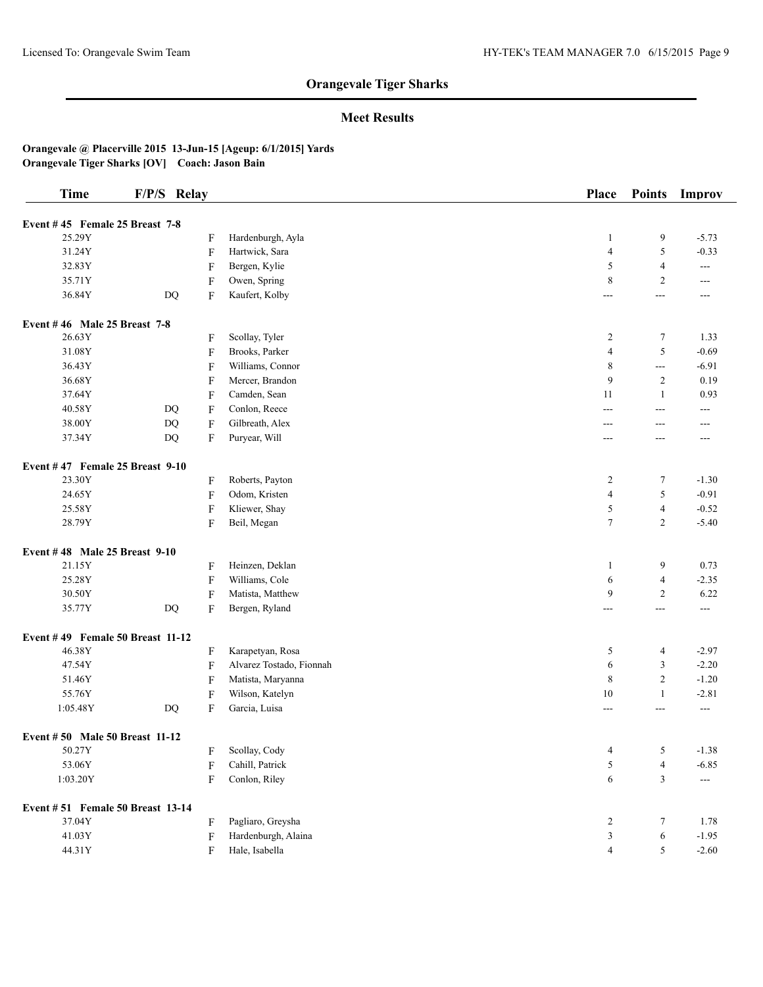## **Meet Results**

| <b>Time</b>                       | F/P/S Relay |                           |                          | <b>Place</b>     | <b>Points</b>            | Improv               |
|-----------------------------------|-------------|---------------------------|--------------------------|------------------|--------------------------|----------------------|
| Event #45 Female 25 Breast 7-8    |             |                           |                          |                  |                          |                      |
| 25.29Y                            |             | F                         | Hardenburgh, Ayla        | 1                | 9                        | $-5.73$              |
| 31.24Y                            |             | F                         | Hartwick, Sara           | $\overline{4}$   | 5                        | $-0.33$              |
| 32.83Y                            |             | F                         | Bergen, Kylie            | 5                | 4                        | $- - -$              |
| 35.71Y                            |             | F                         | Owen, Spring             | 8                | 2                        | ---                  |
| 36.84Y                            | DQ          | F                         | Kaufert, Kolby           | ---              | ---                      | ---                  |
| Event #46 Male 25 Breast 7-8      |             |                           |                          |                  |                          |                      |
| 26.63Y                            |             | F                         | Scollay, Tyler           | $\boldsymbol{2}$ | $\tau$                   | 1.33                 |
| 31.08Y                            |             | F                         | Brooks, Parker           | $\overline{4}$   | 5                        | $-0.69$              |
| 36.43Y                            |             | F                         | Williams, Connor         | 8                | $\overline{a}$           | $-6.91$              |
| 36.68Y                            |             | F                         | Mercer, Brandon          | 9                | $\overline{2}$           | 0.19                 |
| 37.64Y                            |             | F                         | Camden, Sean             | 11               | $\mathbf{1}$             | 0.93                 |
| 40.58Y                            | DQ          | F                         | Conlon, Reece            | $---$            | ---                      | ---                  |
| 38.00Y                            | <b>DQ</b>   | F                         | Gilbreath, Alex          | $---$            | ---                      | ---                  |
| 37.34Y                            | DQ          | F                         | Puryear, Will            | ---              | ---                      | ---                  |
| Event $#47$ Female 25 Breast 9-10 |             |                           |                          |                  |                          |                      |
| 23.30Y                            |             | F                         | Roberts, Payton          | $\overline{c}$   | 7                        | $-1.30$              |
| 24.65Y                            |             | $\boldsymbol{\mathrm{F}}$ | Odom, Kristen            | $\overline{4}$   | 5                        | $-0.91$              |
| 25.58Y                            |             | $\boldsymbol{\mathrm{F}}$ | Kliewer, Shay            | 5                | $\overline{\mathcal{L}}$ | $-0.52$              |
| 28.79Y                            |             | F                         | Beil, Megan              | $\tau$           | $\mathfrak{2}$           | $-5.40$              |
| Event #48 Male 25 Breast 9-10     |             |                           |                          |                  |                          |                      |
| 21.15Y                            |             | F                         | Heinzen, Deklan          | 1                | 9                        | 0.73                 |
| 25.28Y                            |             | F                         | Williams, Cole           | 6                | $\overline{\mathcal{L}}$ | $-2.35$              |
| 30.50Y                            |             | F                         | Matista, Matthew         | 9                | $\mathfrak{2}$           | 6.22                 |
| 35.77Y                            | DQ          | $\boldsymbol{\mathrm{F}}$ | Bergen, Ryland           | $---$            | ---                      | $---$                |
| Event #49 Female 50 Breast 11-12  |             |                           |                          |                  |                          |                      |
| 46.38Y                            |             | F                         | Karapetyan, Rosa         | 5                | 4                        | $-2.97$              |
| 47.54Y                            |             | F                         | Alvarez Tostado, Fionnah | 6                | 3                        | $-2.20$              |
| 51.46Y                            |             | F                         | Matista, Maryanna        | 8                | $\overline{c}$           | $-1.20$              |
| 55.76Y                            |             | F                         | Wilson, Katelyn          | 10               | $\mathbf{1}$             | $-2.81$              |
| 1:05.48Y                          | $\rm DQ$    | F                         | Garcia, Luisa            | ---              | ---                      | $\scriptstyle\cdots$ |
| Event #50 Male 50 Breast 11-12    |             |                           |                          |                  |                          |                      |
| 50.27Y                            |             | F                         | Scollay, Cody            | 4                | 5                        | $-1.38$              |
| 53.06Y                            |             | $\boldsymbol{\mathrm{F}}$ | Cahill, Patrick          | 5                | $\overline{\mathcal{L}}$ | $-6.85$              |
| 1:03.20Y                          |             | F                         | Conlon, Riley            | $\epsilon$       | 3                        | $\qquad \qquad - -$  |
| Event #51 Female 50 Breast 13-14  |             |                           |                          |                  |                          |                      |
| 37.04Y                            |             | F                         | Pagliaro, Greysha        | $\overline{c}$   | $\tau$                   | 1.78                 |
| 41.03Y                            |             | F                         | Hardenburgh, Alaina      | 3                | 6                        | $-1.95$              |
| 44.31Y                            |             | F                         | Hale, Isabella           | 4                | 5                        | $-2.60$              |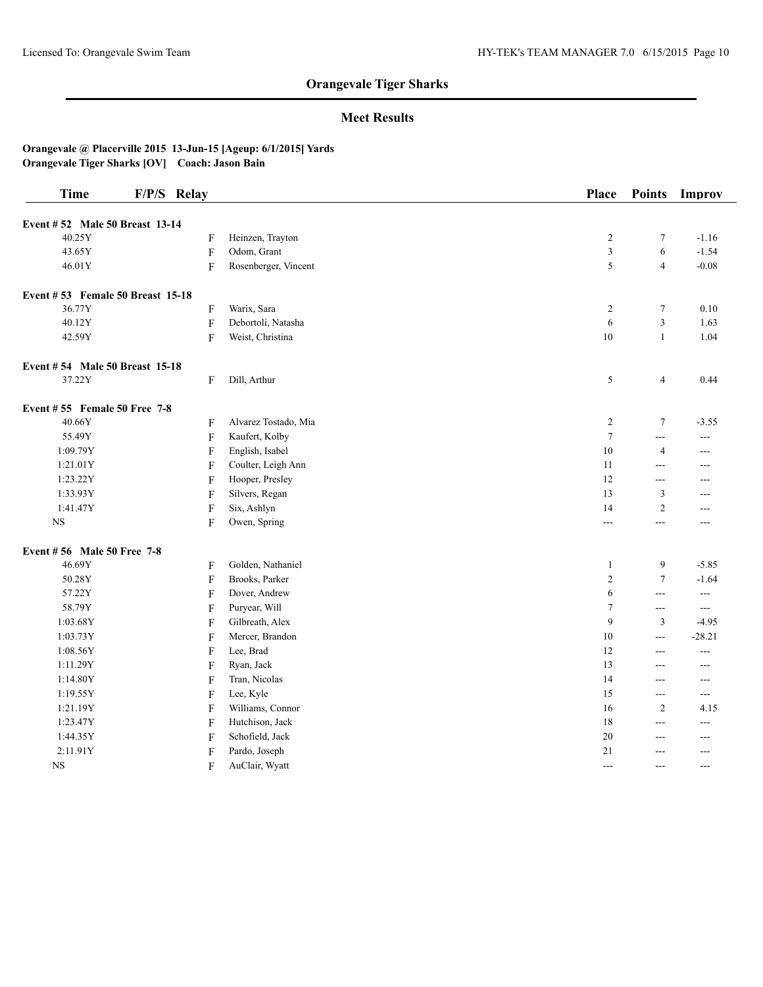## **Meet Results**

| <b>Time</b>                      | F/P/S Relay               |                      | <b>Place</b>   | <b>Points</b>           | Improv         |
|----------------------------------|---------------------------|----------------------|----------------|-------------------------|----------------|
| Event #52 Male 50 Breast 13-14   |                           |                      |                |                         |                |
| 40.25Y                           | F                         | Heinzen, Trayton     | $\overline{c}$ | 7                       | $-1.16$        |
| 43.65Y                           | $\boldsymbol{\mathrm{F}}$ | Odom, Grant          | 3              | 6                       | $-1.54$        |
| 46.01Y                           | F                         | Rosenberger, Vincent | 5              | $\overline{4}$          | $-0.08$        |
|                                  |                           |                      |                |                         |                |
| Event #53 Female 50 Breast 15-18 |                           |                      |                |                         |                |
| 36.77Y                           | F                         | Warix, Sara          | $\overline{c}$ | $\tau$                  | 0.10           |
| 40.12Y                           | F                         | Debortoli, Natasha   | 6              | 3                       | 1.63           |
| 42.59Y                           | $\mathbf F$               | Weist, Christina     | $10\,$         | $\mathbf{1}$            | 1.04           |
| Event #54 Male 50 Breast 15-18   |                           |                      |                |                         |                |
| 37.22Y                           | F                         | Dill, Arthur         | 5              | $\overline{\mathbf{4}}$ | 0.44           |
| Event $#55$ Female 50 Free 7-8   |                           |                      |                |                         |                |
| 40.66Y                           | F                         | Alvarez Tostado, Mia | $\overline{c}$ | $\tau$                  | $-3.55$        |
| 55.49Y                           | $\boldsymbol{\mathrm{F}}$ | Kaufert, Kolby       | $\tau$         | ---                     | $---$          |
| 1:09.79Y                         | F                         | English, Isabel      | 10             | 4                       | $---$          |
| 1:21.01Y                         | F                         | Coulter, Leigh Ann   | 11             | $---$                   | ---            |
| 1:23.22Y                         | F                         | Hooper, Presley      | 12             | ---                     | ---            |
| 1:33.93Y                         | F                         | Silvers, Regan       | 13             | 3                       | ---            |
| 1:41.47Y                         | $\boldsymbol{\mathrm{F}}$ | Six, Ashlyn          | 14             | $\overline{c}$          | $---$          |
| $_{\rm NS}$                      | F                         | Owen, Spring         | $\frac{1}{2}$  | ---                     | ---            |
| Event #56 Male 50 Free 7-8       |                           |                      |                |                         |                |
| 46.69Y                           | F                         | Golden, Nathaniel    | $\mathbf{1}$   | 9                       | $-5.85$        |
| 50.28Y                           | $\mathbf F$               | Brooks, Parker       | $\sqrt{2}$     | $\overline{7}$          | $-1.64$        |
| 57.22Y                           | F                         | Dover, Andrew        | 6              | ---                     | $---$          |
| 58.79Y                           | F                         | Puryear, Will        | $\tau$         | ---                     | $\overline{a}$ |
| 1:03.68Y                         | F                         | Gilbreath, Alex      | 9              | 3                       | $-4.95$        |
| 1:03.73Y                         | F                         | Mercer, Brandon      | 10             | $\frac{1}{2}$           | $-28.21$       |
| 1:08.56Y                         | F                         | Lee, Brad            | 12             | ---                     | ---            |
| 1:11.29Y                         | F                         | Ryan, Jack           | 13             | ---                     | $---$          |
| 1:14.80Y                         | F                         | Tran, Nicolas        | 14             | ---                     | ---            |
| 1:19.55Y                         | $\boldsymbol{\mathrm{F}}$ | Lee, Kyle            | 15             | $\overline{a}$          | ---            |
| 1:21.19Y                         | F                         | Williams, Connor     | 16             | $\mathfrak{2}$          | 4.15           |
| 1:23.47Y                         | F                         | Hutchison, Jack      | 18             | ---                     | ---            |
| 1:44.35Y                         | F                         | Schofield, Jack      | 20             | ---                     | $---$          |
| 2:11.91Y                         | F                         | Pardo, Joseph        | 21             | ---                     | $---$          |
| $_{\rm NS}$                      | F                         | AuClair, Wyatt       | ---            | ---                     | ---            |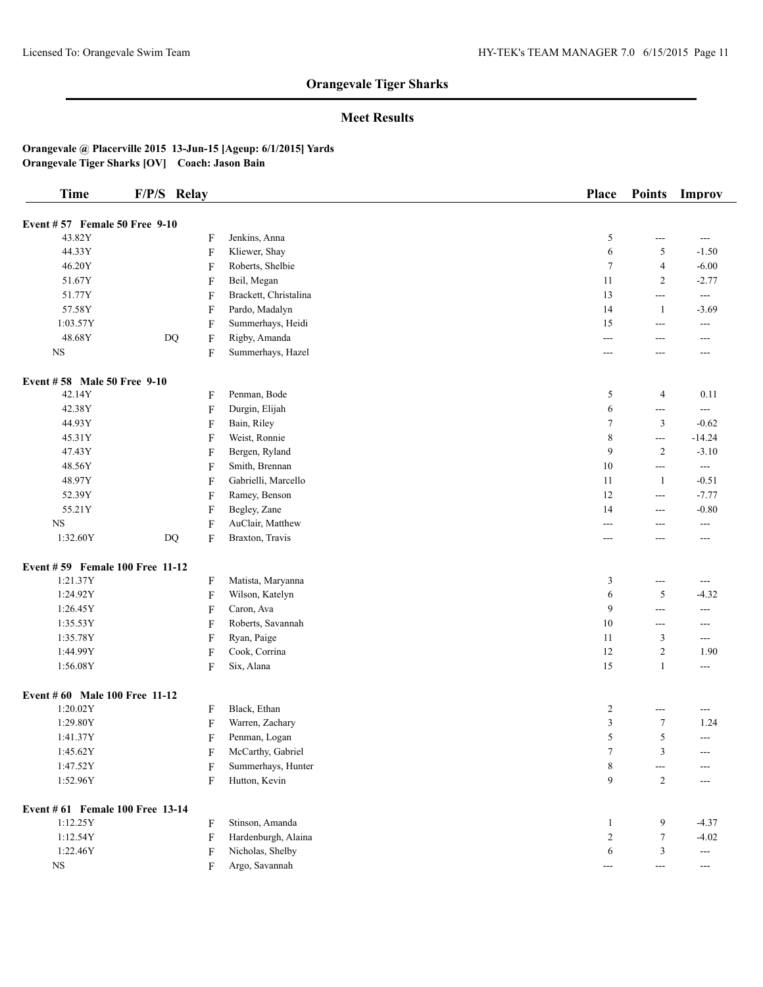## **Meet Results**

| <b>Time</b>                      | F/P/S Relay |                           |                       | Place          | <b>Points</b>            | Improv                   |
|----------------------------------|-------------|---------------------------|-----------------------|----------------|--------------------------|--------------------------|
| Event $#57$ Female 50 Free 9-10  |             |                           |                       |                |                          |                          |
| 43.82Y                           |             | F                         | Jenkins, Anna         | 5              | ---                      | ---                      |
| 44.33Y                           |             | $\boldsymbol{\mathrm{F}}$ | Kliewer, Shay         | 6              | 5                        | $-1.50$                  |
| 46.20Y                           |             | F                         | Roberts, Shelbie      | $\tau$         | $\overline{4}$           | $-6.00$                  |
| 51.67Y                           |             | F                         | Beil, Megan           | 11             | $\overline{c}$           | $-2.77$                  |
| 51.77Y                           |             | $\boldsymbol{\mathrm{F}}$ | Brackett, Christalina | 13             | ---                      | $\sim$ $\sim$            |
| 57.58Y                           |             | $\boldsymbol{\mathrm{F}}$ | Pardo, Madalyn        | 14             | $\mathbf{1}$             | $-3.69$                  |
| 1:03.57Y                         |             | F                         | Summerhays, Heidi     | 15             | ---                      | ---                      |
| 48.68Y                           | $\rm DQ$    | $\boldsymbol{\mathrm{F}}$ | Rigby, Amanda         | ---            | ---                      | $---$                    |
| $_{\rm NS}$                      |             | $\boldsymbol{\mathrm{F}}$ | Summerhays, Hazel     | ---            | ---                      | $---$                    |
|                                  |             |                           |                       |                |                          |                          |
| Event #58 Male 50 Free 9-10      |             |                           |                       |                |                          |                          |
| 42.14Y                           |             | F                         | Penman, Bode          | 5              | 4                        | 0.11                     |
| 42.38Y                           |             | $\boldsymbol{\mathrm{F}}$ | Durgin, Elijah        | 6              | ---                      | ---                      |
| 44.93Y                           |             | F                         | Bain, Riley           | $\tau$         | 3                        | $-0.62$                  |
| 45.31Y                           |             | F                         | Weist, Ronnie         | 8              | $\sim$ $\sim$            | $-14.24$                 |
| 47.43Y                           |             | F                         | Bergen, Ryland        | 9              | $\overline{c}$           | $-3.10$                  |
| 48.56Y                           |             | $\boldsymbol{\mathrm{F}}$ | Smith, Brennan        | 10             | ---                      | $\overline{a}$           |
| 48.97Y                           |             | $\boldsymbol{\mathrm{F}}$ | Gabrielli, Marcello   | 11             | $\mathbf{1}$             | $-0.51$                  |
| 52.39Y                           |             | $\boldsymbol{\mathrm{F}}$ | Ramey, Benson         | 12             | ---                      | $-7.77$                  |
| 55.21Y                           |             | $\boldsymbol{\mathrm{F}}$ | Begley, Zane          | 14             | ---                      | $-0.80$                  |
| $_{\rm NS}$                      |             | $\boldsymbol{\mathrm{F}}$ | AuClair, Matthew      | ---            | ---                      | $- - -$                  |
| 1:32.60Y                         | DQ          | F                         | Braxton, Travis       | ---            | ---                      | ---                      |
| Event #59 Female 100 Free 11-12  |             |                           |                       |                |                          |                          |
| 1:21.37Y                         |             | F                         | Matista, Maryanna     | 3              | $\hspace{0.05cm} \ldots$ | $- - -$                  |
| 1:24.92Y                         |             | F                         | Wilson, Katelyn       | 6              | 5                        | $-4.32$                  |
| 1:26.45Y                         |             | $\boldsymbol{\mathrm{F}}$ | Caron, Ava            | 9              | ---                      | ---                      |
| 1:35.53Y                         |             | $\boldsymbol{\mathrm{F}}$ | Roberts, Savannah     | 10             | ---                      | ---                      |
| 1:35.78Y                         |             | F                         | Ryan, Paige           | 11             | 3                        | ---                      |
| 1:44.99Y                         |             | $\boldsymbol{\mathrm{F}}$ | Cook, Corrina         | 12             | $\overline{c}$           | 1.90                     |
| 1:56.08Y                         |             | $\boldsymbol{\mathrm{F}}$ | Six, Alana            | 15             | $\mathbf{1}$             | $---$                    |
|                                  |             |                           |                       |                |                          |                          |
| Event # 60 Male 100 Free 11-12   |             |                           |                       |                |                          |                          |
| 1:20.02Y                         |             | F                         | Black, Ethan          | $\overline{c}$ | ---                      | ---                      |
| 1:29.80Y                         |             | F                         | Warren, Zachary       | 3              | $\tau$                   | 1.24                     |
| 1:41.37Y                         |             | F                         | Penman, Logan         | 5              | 5                        | $\sim$ $\sim$            |
| 1:45.62Y                         |             | F                         | McCarthy, Gabriel     | 7              | 3                        | ---                      |
| 1:47.52Y                         |             | F                         | Summerhays, Hunter    | 8              | ---                      |                          |
| 1:52.96Y                         |             | $\overline{F}$            | Hutton, Kevin         | 9              | $\overline{c}$           | ---                      |
| Event # 61 Female 100 Free 13-14 |             |                           |                       |                |                          |                          |
| 1:12.25Y                         |             | F                         | Stinson, Amanda       | 1              | 9                        | $-4.37$                  |
| 1:12.54Y                         |             | $\rm F$                   | Hardenburgh, Alaina   | $\overline{c}$ | $\tau$                   | $-4.02$                  |
| 1:22.46Y                         |             | F                         | Nicholas, Shelby      | 6              | 3                        | $\hspace{0.05cm} \ldots$ |
|                                  |             |                           | Argo, Savannah        |                |                          |                          |
| $_{\rm NS}$                      |             | F                         |                       | $---$          | $---$                    | ---                      |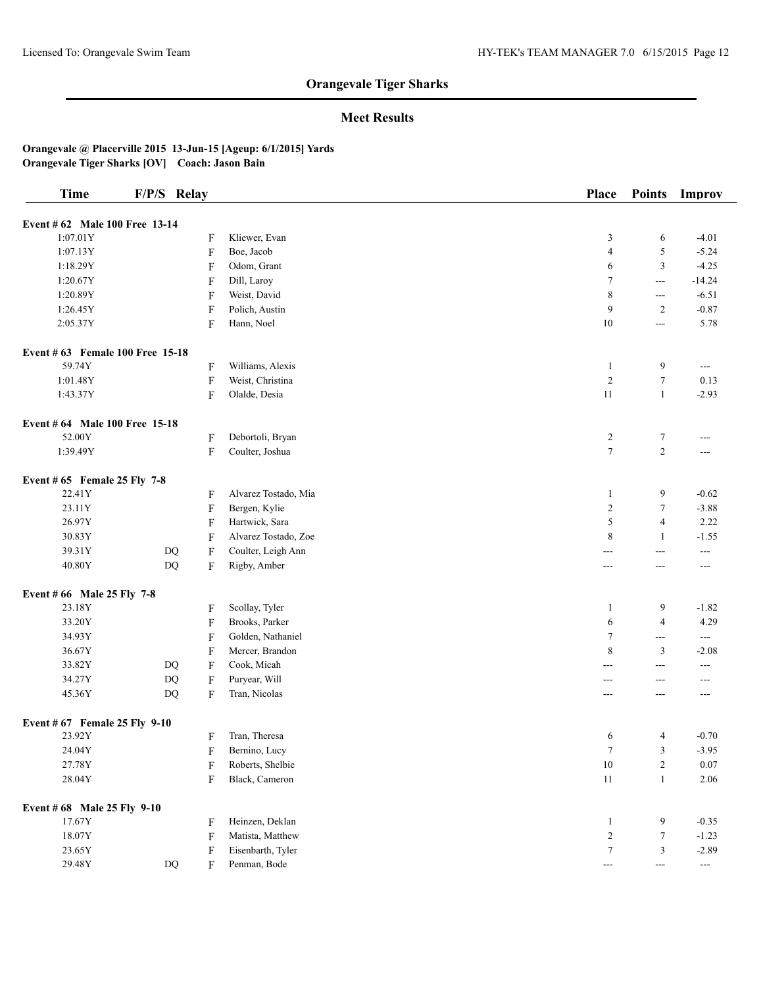## **Meet Results**

| <b>Time</b>                      | F/P/S Relay                                         |                      | Place                                  | <b>Points</b>    | Improv        |
|----------------------------------|-----------------------------------------------------|----------------------|----------------------------------------|------------------|---------------|
| Event # 62 Male 100 Free 13-14   |                                                     |                      |                                        |                  |               |
| 1:07.01Y                         | F                                                   | Kliewer, Evan        | 3                                      | 6                | $-4.01$       |
| 1:07.13Y                         | F                                                   | Boe, Jacob           | $\overline{4}$                         | $\sqrt{5}$       | $-5.24$       |
| 1:18.29Y                         | $\boldsymbol{\mathrm{F}}$                           | Odom, Grant          | 6                                      | $\mathfrak z$    | $-4.25$       |
| 1:20.67Y                         | $\rm F$                                             | Dill, Laroy          | 7                                      | $\overline{a}$   | $-14.24$      |
| 1:20.89Y                         | F                                                   | Weist, David         | 8                                      | $---$            | $-6.51$       |
| 1:26.45Y                         | F                                                   | Polich, Austin       | 9                                      | $\overline{2}$   | $-0.87$       |
| 2:05.37Y                         | $\rm F$                                             | Hann, Noel           | $10\,$                                 | $\overline{a}$   | 5.78          |
| Event # 63 Female 100 Free 15-18 |                                                     |                      |                                        |                  |               |
| 59.74Y                           | F                                                   | Williams, Alexis     | $\mathbf{1}$                           | 9                | $--$          |
| 1:01.48Y                         | $\boldsymbol{\mathrm{F}}$                           | Weist, Christina     | $\overline{2}$                         | $\tau$           | 0.13          |
| 1:43.37Y                         | $\boldsymbol{\mathrm{F}}$                           | Olalde, Desia        | 11                                     | $\mathbf{1}$     | $-2.93$       |
|                                  |                                                     |                      |                                        |                  |               |
| Event # 64 Male 100 Free 15-18   |                                                     |                      |                                        |                  |               |
| 52.00Y                           | F                                                   | Debortoli, Bryan     | $\overline{c}$                         | 7                | ---           |
| 1:39.49Y                         | $\rm F$                                             | Coulter, Joshua      | $\overline{7}$                         | $\overline{c}$   | ---           |
| Event # $65$ Female 25 Fly 7-8   |                                                     |                      |                                        |                  |               |
| 22.41Y                           | F                                                   | Alvarez Tostado, Mia | $\mathbf{1}$                           | 9                | $-0.62$       |
| 23.11Y                           | $\rm F$                                             | Bergen, Kylie        | $\overline{2}$                         | $\tau$           | $-3.88$       |
| 26.97Y                           | F                                                   | Hartwick, Sara       | 5                                      | $\overline{4}$   | 2.22          |
| 30.83Y                           | F                                                   | Alvarez Tostado, Zoe | 8                                      | $\mathbf{1}$     | $-1.55$       |
| 39.31Y                           | $\mathbf{D}\mathbf{Q}$<br>F                         | Coulter, Leigh Ann   | ---                                    | ---              | ---           |
| 40.80Y                           | DQ<br>F                                             | Rigby, Amber         | $---$                                  | $---$            | $---$         |
| Event # 66 Male 25 Fly 7-8       |                                                     |                      |                                        |                  |               |
| 23.18Y                           | F                                                   | Scollay, Tyler       | $\mathbf{1}$                           | 9                | $-1.82$       |
| 33.20Y                           | $\boldsymbol{\mathrm{F}}$                           | Brooks, Parker       | 6                                      | $\overline{4}$   | 4.29          |
| 34.93Y                           | ${\bf F}$                                           | Golden, Nathaniel    | $\tau$                                 | $\overline{a}$   | $\frac{1}{2}$ |
| 36.67Y                           | $\rm F$                                             | Mercer, Brandon      | 8                                      | $\mathfrak{Z}$   | $-2.08$       |
| 33.82Y                           | DQ<br>F                                             | Cook, Micah          | ---                                    | $---$            | ---           |
| 34.27Y                           | $\mathbf{D}\mathbf{Q}$<br>$\boldsymbol{\mathrm{F}}$ | Puryear, Will        | ---                                    | $---$            | ---           |
| 45.36Y                           | DQ<br>F                                             | Tran, Nicolas        | $\overline{a}$                         | $---$            | $---$         |
| Event # 67 Female 25 Fly 9-10    |                                                     |                      |                                        |                  |               |
| 23.92Y                           | F                                                   | Tran, Theresa        | 6                                      | 4                | $-0.70$       |
| 24.04Y                           | F                                                   | Bernino, Lucy        | 7                                      | 3                | $-3.95$       |
| 27.78Y                           | F                                                   | Roberts, Shelbie     | $10\,$                                 | $\boldsymbol{2}$ | 0.07          |
| 28.04Y                           | F                                                   | Black, Cameron       | $11\,$                                 | $\mathbf{1}$     | 2.06          |
| Event # 68 Male 25 Fly 9-10      |                                                     |                      |                                        |                  |               |
| 17.67Y                           | F                                                   | Heinzen, Deklan      | $\mathbf{1}$                           | 9                | $-0.35$       |
| 18.07Y                           | F                                                   | Matista, Matthew     | $\overline{2}$                         | $\tau$           | $-1.23$       |
| 23.65Y                           | F                                                   | Eisenbarth, Tyler    | $\tau$                                 | 3                | $-2.89$       |
| 29.48Y                           | $\rm DQ$<br>F                                       | Penman, Bode         | $\scriptstyle\cdots\scriptstyle\cdots$ | $---$            | ---           |
|                                  |                                                     |                      |                                        |                  |               |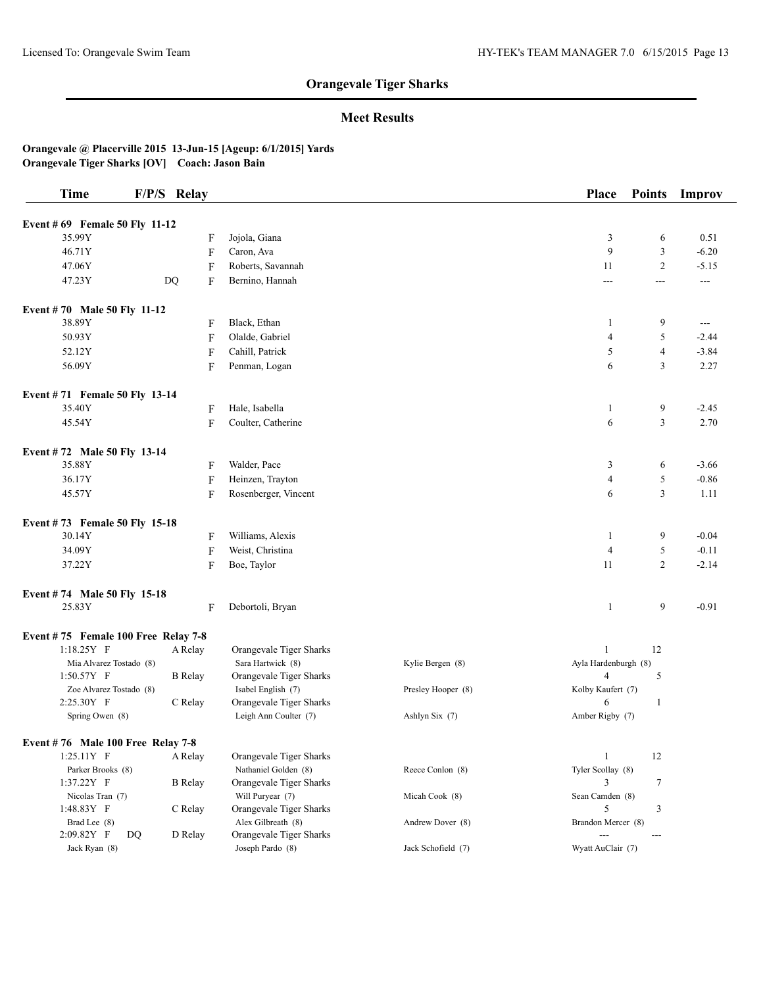## **Meet Results**

| <b>Time</b>                           |    | F/P/S Relay    |                                               |                    | Place                   | <b>Points</b>  | Improv         |
|---------------------------------------|----|----------------|-----------------------------------------------|--------------------|-------------------------|----------------|----------------|
| Event # 69 Female 50 Fly 11-12        |    |                |                                               |                    |                         |                |                |
| 35.99Y                                |    |                | Jojola, Giana<br>F                            |                    | 3                       | 6              | 0.51           |
| 46.71Y                                |    |                | Caron, Ava<br>F                               |                    | 9                       | 3              | $-6.20$        |
| 47.06Y                                |    |                | F<br>Roberts, Savannah                        |                    | 11                      | $\overline{2}$ | $-5.15$        |
| 47.23Y                                |    | DQ             | F<br>Bernino, Hannah                          |                    | $\overline{a}$          | ---            | $\overline{a}$ |
|                                       |    |                |                                               |                    |                         |                |                |
| Event #70 Male 50 Fly 11-12           |    |                |                                               |                    |                         |                |                |
| 38.89Y                                |    |                | Black, Ethan<br>F                             |                    | 1                       | 9              | $\sim$ $\sim$  |
| 50.93Y                                |    |                | F<br>Olalde, Gabriel                          |                    | $\overline{4}$          | 5              | $-2.44$        |
| 52.12Y                                |    |                | $\boldsymbol{\mathrm{F}}$<br>Cahill, Patrick  |                    | 5                       | $\overline{4}$ | $-3.84$        |
| 56.09Y                                |    |                | Penman, Logan<br>F                            |                    | 6                       | 3              | 2.27           |
| Event #71 Female 50 Fly 13-14         |    |                |                                               |                    |                         |                |                |
| 35.40Y                                |    |                | Hale, Isabella<br>F                           |                    | 1                       | 9              | $-2.45$        |
| 45.54Y                                |    |                | F<br>Coulter, Catherine                       |                    | 6                       | 3              | 2.70           |
|                                       |    |                |                                               |                    |                         |                |                |
| Event #72 Male 50 Fly 13-14           |    |                |                                               |                    |                         |                |                |
| 35.88Y                                |    |                | Walder, Pace<br>F                             |                    | 3                       | 6              | $-3.66$        |
| 36.17Y                                |    |                | F<br>Heinzen, Trayton                         |                    | 4                       | 5              | $-0.86$        |
| 45.57Y                                |    |                | F<br>Rosenberger, Vincent                     |                    | 6                       | 3              | 1.11           |
| Event #73 Female 50 Fly 15-18         |    |                |                                               |                    |                         |                |                |
| 30.14Y                                |    |                | Williams, Alexis<br>F                         |                    | 1                       | 9              | $-0.04$        |
| 34.09Y                                |    |                | F<br>Weist, Christina                         |                    | $\overline{4}$          | 5              | $-0.11$        |
| 37.22Y                                |    |                | F<br>Boe, Taylor                              |                    | 11                      | $\overline{c}$ | $-2.14$        |
| Event #74 Male 50 Fly 15-18           |    |                |                                               |                    |                         |                |                |
| 25.83Y                                |    |                | Debortoli, Bryan<br>F                         |                    | 1                       | 9              | $-0.91$        |
|                                       |    |                |                                               |                    |                         |                |                |
| Event #75 Female 100 Free Relay 7-8   |    |                |                                               |                    |                         |                |                |
| $1:18.25Y$ F                          |    | A Relay        | Orangevale Tiger Sharks                       |                    | $\mathbf{1}$            | 12             |                |
| Mia Alvarez Tostado (8)               |    |                | Sara Hartwick (8)                             | Kylie Bergen (8)   | Ayla Hardenburgh (8)    |                |                |
| 1:50.57Y F<br>Zoe Alvarez Tostado (8) |    | <b>B</b> Relay | Orangevale Tiger Sharks                       | Presley Hooper (8) | 4<br>Kolby Kaufert (7)  | 5              |                |
| 2:25.30Y F                            |    | C Relay        | Isabel English (7)<br>Orangevale Tiger Sharks |                    | 6                       | $\mathbf{1}$   |                |
| Spring Owen (8)                       |    |                | Leigh Ann Coulter (7)                         | Ashlyn Six (7)     | Amber Rigby (7)         |                |                |
|                                       |    |                |                                               |                    |                         |                |                |
| Event $#76$ Male 100 Free Relay 7-8   |    |                |                                               |                    |                         |                |                |
| $1:25.11Y$ F                          |    | A Relay        | Orangevale Tiger Sharks                       |                    | $\mathbf{1}$            | 12             |                |
| Parker Brooks (8)                     |    |                | Nathaniel Golden (8)                          | Reece Conlon (8)   | Tyler Scollay (8)       |                |                |
| 1:37.22Y F                            |    | <b>B</b> Relay | Orangevale Tiger Sharks                       |                    | 3                       | $\tau$         |                |
| Nicolas Tran (7)                      |    |                | Will Puryear (7)<br>Orangevale Tiger Sharks   | Micah Cook (8)     | Sean Camden (8)         |                |                |
| 1:48.83Y F<br>Brad Lee (8)            |    | C Relay        | Alex Gilbreath (8)                            | Andrew Dover (8)   | 5<br>Brandon Mercer (8) | 3              |                |
| 2:09.82Y F                            | DQ | D Relay        | Orangevale Tiger Sharks                       |                    | $\overline{a}$          | $---$          |                |
| Jack Ryan (8)                         |    |                | Joseph Pardo (8)                              | Jack Schofield (7) | Wyatt AuClair (7)       |                |                |
|                                       |    |                |                                               |                    |                         |                |                |